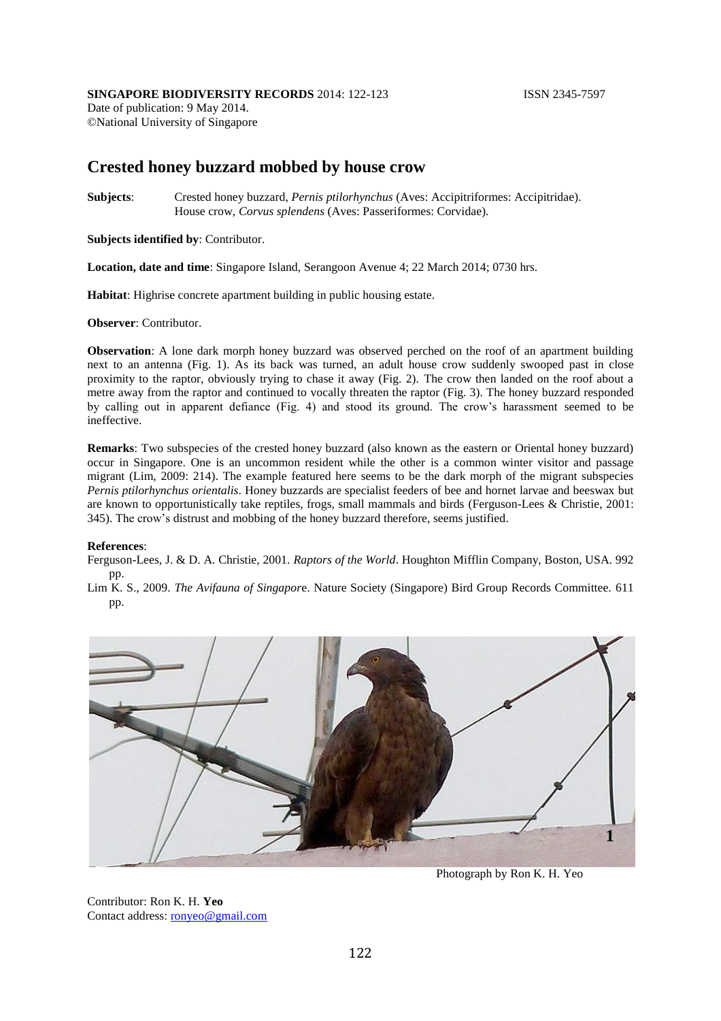## **SINGAPORE BIODIVERSITY RECORDS** 2014: 122-123 **ISSN 2345-7597**

Date of publication: 9 May 2014. ©National University of Singapore

## **Crested honey buzzard mobbed by house crow**

**Subjects**: Crested honey buzzard, *Pernis ptilorhynchus* (Aves: Accipitriformes: Accipitridae). House crow, *Corvus splendens* (Aves: Passeriformes: Corvidae).

**Subjects identified by**: Contributor.

**Location, date and time**: Singapore Island, Serangoon Avenue 4; 22 March 2014; 0730 hrs.

**Habitat**: Highrise concrete apartment building in public housing estate.

**Observer**: Contributor.

**Observation**: A lone dark morph honey buzzard was observed perched on the roof of an apartment building next to an antenna (Fig. 1). As its back was turned, an adult house crow suddenly swooped past in close proximity to the raptor, obviously trying to chase it away (Fig. 2). The crow then landed on the roof about a metre away from the raptor and continued to vocally threaten the raptor (Fig. 3). The honey buzzard responded by calling out in apparent defiance (Fig. 4) and stood its ground. The crow's harassment seemed to be ineffective.

**Remarks**: Two subspecies of the crested honey buzzard (also known as the eastern or Oriental honey buzzard) occur in Singapore. One is an uncommon resident while the other is a common winter visitor and passage migrant (Lim, 2009: 214). The example featured here seems to be the dark morph of the migrant subspecies *Pernis ptilorhynchus orientalis*. Honey buzzards are specialist feeders of bee and hornet larvae and beeswax but are known to opportunistically take reptiles, frogs, small mammals and birds (Ferguson-Lees & Christie, 2001: 345). The crow's distrust and mobbing of the honey buzzard therefore, seems justified.

## **References**:

Ferguson-Lees, J. & D. A. Christie, 2001. *Raptors of the World*. Houghton Mifflin Company, Boston, USA. 992 pp.

Lim K. S., 2009. *The Avifauna of Singapor*e. Nature Society (Singapore) Bird Group Records Committee. 611 pp.



Photograph by Ron K. H. Yeo

Contributor: Ron K. H. **Yeo** Contact address: [ronyeo@gmail.com](mailto:ronyeo@gmail.com)